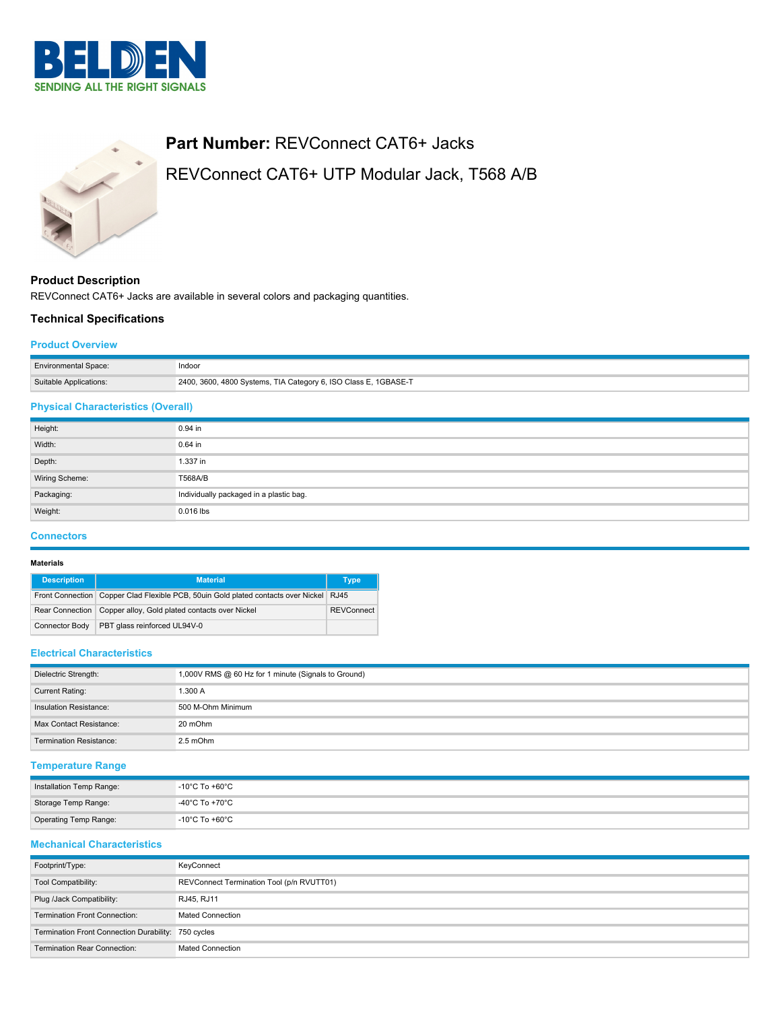



# **Part Number:** REVConnect CAT6+ Jacks REVConnect CAT6+ UTP Modular Jack, T568 A/B

## **Product Description** REVConnect CAT6+ Jacks are available in several colors and packaging quantities.

## **Technical Specifications**

#### **Product Overview**

| <b>Environmental Space:</b> | Indoor                                                          |
|-----------------------------|-----------------------------------------------------------------|
| Suitable Applications:      | 2400, 3600, 4800 Systems, TIA Category 6, ISO Class E, 1GBASE-T |

## **Physical Characteristics (Overall)**

| Height:        | 0.94 in                                 |  |  |
|----------------|-----------------------------------------|--|--|
| Width:         | 0.64 in                                 |  |  |
| Depth:         | 1.337 in                                |  |  |
| Wiring Scheme: | T568A/B                                 |  |  |
| Packaging:     | Individually packaged in a plastic bag. |  |  |
| Weight:        | 0.016 lbs                               |  |  |

## **Connectors**

#### **Materials**

| <b>Description</b>    | <b>Material</b>                                                                        | <b>Type</b> |
|-----------------------|----------------------------------------------------------------------------------------|-------------|
|                       | Front Connection Copper Clad Flexible PCB, 50uin Gold plated contacts over Nickel RJ45 |             |
|                       | Rear Connection   Copper alloy, Gold plated contacts over Nickel                       |             |
| <b>Connector Body</b> | PBT glass reinforced UL94V-0                                                           |             |

#### **Electrical Characteristics**

| Dielectric Strength:           | 1,000V RMS @ 60 Hz for 1 minute (Signals to Ground) |  |
|--------------------------------|-----------------------------------------------------|--|
| Current Rating:                | 1.300 A                                             |  |
| Insulation Resistance:         | 500 M-Ohm Minimum                                   |  |
| Max Contact Resistance:        | 20 mOhm                                             |  |
| <b>Termination Resistance:</b> | 2.5 mOhm                                            |  |

## **Temperature Range**

| Installation Temp Range: | $-10^{\circ}$ C To +60 $^{\circ}$ C |
|--------------------------|-------------------------------------|
| Storage Temp Range:      | $-40^{\circ}$ C To +70 $^{\circ}$ C |
| Operating Temp Range:    | $-10^{\circ}$ C To +60 $^{\circ}$ C |

## **Mechanical Characteristics**

| Footprint/Type:                                     | KeyConnect                                |  |
|-----------------------------------------------------|-------------------------------------------|--|
| Tool Compatibility:                                 | REVConnect Termination Tool (p/n RVUTT01) |  |
| Plug /Jack Compatibility:                           | RJ45, RJ11                                |  |
| <b>Termination Front Connection:</b>                | <b>Mated Connection</b>                   |  |
| Termination Front Connection Durability: 750 cycles |                                           |  |
| <b>Termination Rear Connection:</b>                 | <b>Mated Connection</b>                   |  |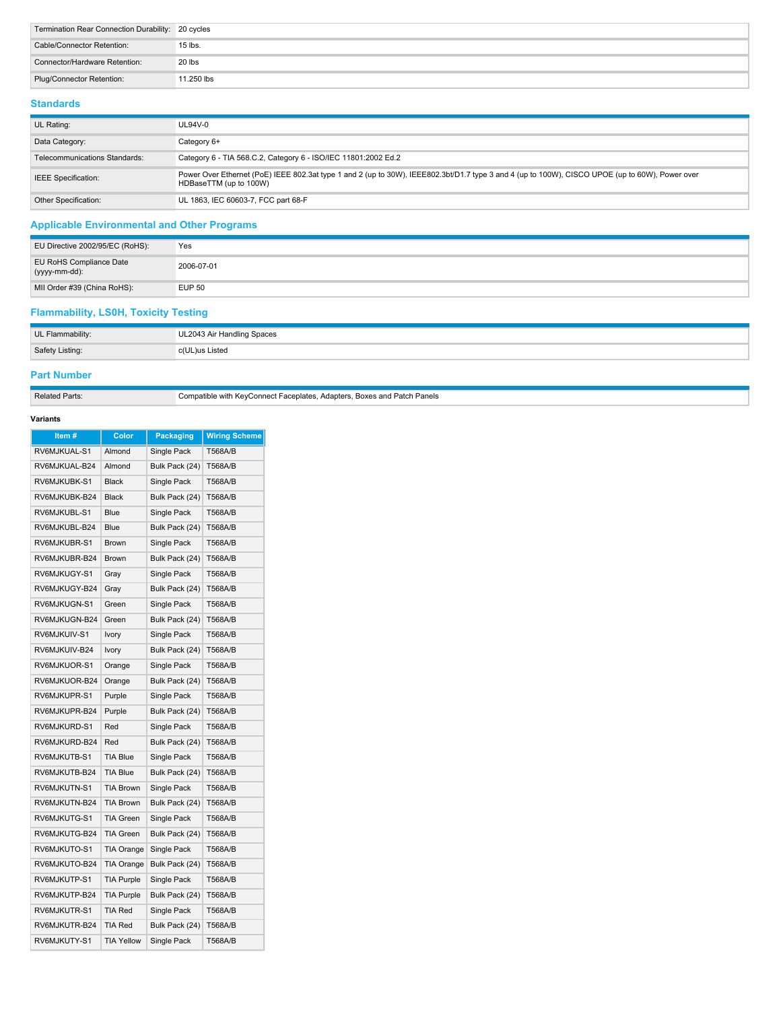| Termination Rear Connection Durability: 20 cycles |            |
|---------------------------------------------------|------------|
| Cable/Connector Retention:                        | 15 lbs.    |
| Connector/Hardware Retention:                     | 20 lbs     |
| Plug/Connector Retention:                         | 11.250 lbs |

## **Standards**

| UL Rating:                    | UL94V-0                                                                                                                                                                   |
|-------------------------------|---------------------------------------------------------------------------------------------------------------------------------------------------------------------------|
| Data Category:                | Category 6+                                                                                                                                                               |
| Telecommunications Standards: | Category 6 - TIA 568.C.2, Category 6 - ISO/IEC 11801:2002 Ed.2                                                                                                            |
| <b>IEEE</b> Specification:    | Power Over Ethernet (PoE) IEEE 802.3at type 1 and 2 (up to 30W), IEEE802.3bt/D1.7 type 3 and 4 (up to 100W), CISCO UPOE (up to 60W), Power over<br>HDBaseTTM (up to 100W) |
| Other Specification:          | UL 1863, IEC 60603-7, FCC part 68-F                                                                                                                                       |

## **Applicable Environmental and Other Programs**

| EU Directive 2002/95/EC (RoHS):          | Yes           |
|------------------------------------------|---------------|
| EU RoHS Compliance Date<br>(yyyy-mm-dd): | 2006-07-01    |
| MII Order #39 (China RoHS):              | <b>EUP 50</b> |

## **Flammability, LS0H, Toxicity Testing**

| UL Flammability: | UL2043 Air Handling Spaces |  |
|------------------|----------------------------|--|
| Safety Listing:  | c(UL)us Listed             |  |

## **Part Number**

Related Parts: Compatible with KeyConnect Faceplates, Adapters, Boxes and Patch Panels

## **Variants**

| Item#         | Color             | <b>Packaging</b> | <b>Wiring Scheme</b> |
|---------------|-------------------|------------------|----------------------|
| RV6MJKUAL-S1  | Almond            | Single Pack      | T568A/B              |
| RV6MJKUAL-B24 | Almond            | Bulk Pack (24)   | <b>T568A/B</b>       |
| RV6MJKUBK-S1  | <b>Black</b>      | Single Pack      | T568A/B              |
| RV6MJKUBK-B24 | <b>Black</b>      | Bulk Pack (24)   | T568A/B              |
| RV6MJKUBL-S1  | Blue              | Single Pack      | <b>T568A/B</b>       |
| RV6MJKUBL-B24 | <b>Blue</b>       | Bulk Pack (24)   | <b>T568A/B</b>       |
| RV6MJKUBR-S1  | <b>Brown</b>      | Single Pack      | T568A/B              |
| RV6MJKUBR-B24 | <b>Brown</b>      | Bulk Pack (24)   | T568A/B              |
| RV6MJKUGY-S1  | Gray              | Single Pack      | <b>T568A/B</b>       |
| RV6MJKUGY-B24 | Gray              | Bulk Pack (24)   | <b>T568A/B</b>       |
| RV6MJKUGN-S1  | Green             | Single Pack      | T568A/B              |
| RV6MJKUGN-B24 | Green             | Bulk Pack (24)   | T568A/B              |
| RV6MJKUIV-S1  | Ivory             | Single Pack      | T568A/B              |
| RV6MJKUIV-B24 | Ivory             | Bulk Pack (24)   | <b>T568A/B</b>       |
| RV6MJKUOR-S1  | Orange            | Single Pack      | <b>T568A/B</b>       |
| RV6MJKUOR-B24 | Orange            | Bulk Pack (24)   | <b>T568A/B</b>       |
| RV6MJKUPR-S1  | Purple            | Single Pack      | <b>T568A/B</b>       |
| RV6MJKUPR-B24 | Purple            | Bulk Pack (24)   | T568A/B              |
| RV6MJKURD-S1  | Red               | Single Pack      | <b>T568A/B</b>       |
| RV6MJKURD-B24 | Red               | Bulk Pack (24)   | T568A/B              |
| RV6MJKUTB-S1  | <b>TIA Blue</b>   | Single Pack      | <b>T568A/B</b>       |
| RV6MJKUTB-B24 | <b>TIA Blue</b>   | Bulk Pack (24)   | <b>T568A/B</b>       |
| RV6MJKUTN-S1  | <b>TIA Brown</b>  | Single Pack      | T568A/B              |
| RV6MJKUTN-B24 | <b>TIA Brown</b>  | Bulk Pack (24)   | T568A/B              |
| RV6MJKUTG-S1  | <b>TIA Green</b>  | Single Pack      | <b>T568A/B</b>       |
| RV6MJKUTG-B24 | <b>TIA Green</b>  | Bulk Pack (24)   | T568A/B              |
| RV6MJKUTO-S1  | <b>TIA Orange</b> | Single Pack      | <b>T568A/B</b>       |
| RV6MJKUTO-B24 | TIA Orange        | Bulk Pack (24)   | T568A/B              |
| RV6MJKUTP-S1  | <b>TIA Purple</b> | Single Pack      | <b>T568A/B</b>       |
| RV6MJKUTP-B24 | <b>TIA Purple</b> | Bulk Pack (24)   | T568A/B              |
| RV6MJKUTR-S1  | <b>TIA Red</b>    | Single Pack      | T568A/B              |
| RV6MJKUTR-B24 | <b>TIA Red</b>    | Bulk Pack (24)   | <b>T568A/B</b>       |
| RV6MJKUTY-S1  | <b>TIA Yellow</b> | Single Pack      | T568A/B              |